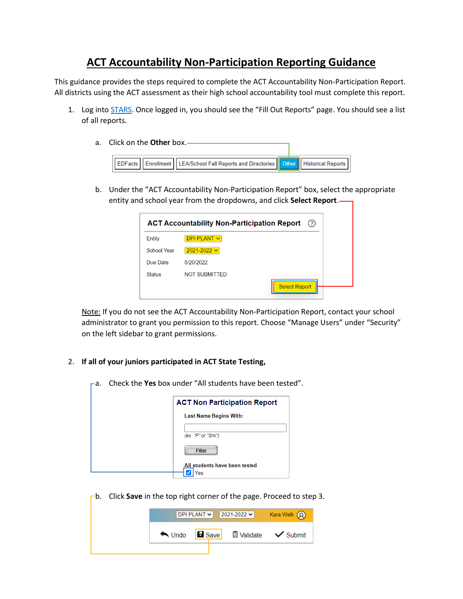## **ACT Accountability Non-Participation Reporting Guidance**

This guidance provides the steps required to complete the ACT Accountability Non-Participation Report. All districts using the ACT assessment as their high school accountability tool must complete this report.

- 1. Log into [STARS](https://secure.apps.state.nd.us/dpi/stars/Login.aspx). Once logged in, you should see the "Fill Out Reports" page. You should see a list of all reports.
	- a. Click on the **Other** box.



b. Under the "ACT Accountability Non-Participation Report" box, select the appropriate entity and school year from the dropdowns, and click **Select Report**.

|                    | <b>ACT Accountability Non-Participation Report</b><br>(?) |
|--------------------|-----------------------------------------------------------|
| Entity             | DPI PLANT $\vee$                                          |
| <b>School Year</b> | $2021 - 2022$ $\sim$                                      |
| Due Date           | 5/20/2022                                                 |
| <b>Status</b>      | <b>NOT SUBMITTED</b>                                      |
|                    | <b>Select Report</b>                                      |

Note: If you do not see the ACT Accountability Non-Participation Report, contact your school administrator to grant you permission to this report. Choose "Manage Users" under "Security" on the left sidebar to grant permissions.

## 2. **If all of your juniors participated in ACT State Testing,**

a. Check the **Yes** box under "All students have been tested".

| <b>ACT Non Participation Report</b> |                                      |  |
|-------------------------------------|--------------------------------------|--|
|                                     | <b>Last Name Begins With:</b>        |  |
|                                     | (ex. "P" or "Smi")                   |  |
|                                     | Filter                               |  |
|                                     | All students have been tested<br>'es |  |

b. Click **Save** in the top right corner of the page. Proceed to step 3.

|  |  | $ DP $ PLANT $\vee$ 2021-2022 $\vee$ Kara Welk $\odot$ |  |  |
|--|--|--------------------------------------------------------|--|--|
|  |  | <b>★ Undo a</b> Save <b>i</b> Validate <b>v</b> Submit |  |  |
|  |  |                                                        |  |  |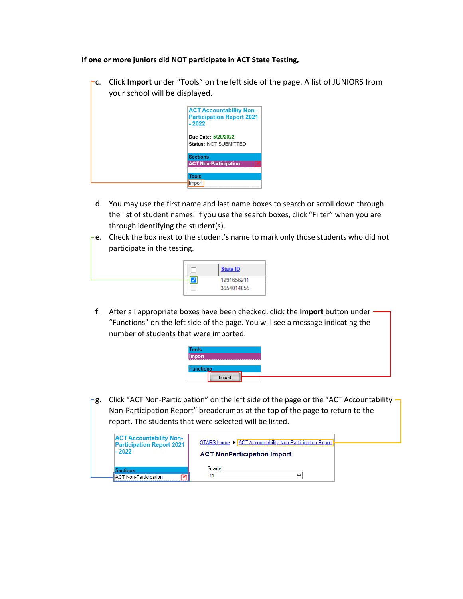## **If one or more juniors did NOT participate in ACT State Testing,**

c. Click **Import** under "Tools" on the left side of the page. A list of JUNIORS from your school will be displayed.



- d. You may use the first name and last name boxes to search or scroll down through the list of student names. If you use the search boxes, click "Filter" when you are through identifying the student(s).
- $\Gamma$ e. Check the box next to the student's name to mark only those students who did not participate in the testing.

|  | <b>State ID</b> |
|--|-----------------|
|  | 1291656211      |
|  | 3954014055      |
|  |                 |

f. After all appropriate boxes have been checked, click the **Import** button under "Functions" on the left side of the page. You will see a message indicating the number of students that were imported.



-g. Click "ACT Non-Participation" on the left side of the page or the "ACT Accountability -Non-Participation Report" breadcrumbs at the top of the page to return to the report. The students that were selected will be listed.

| <b>ACT Accountability Non-</b><br><b>Participation Report 2021</b><br>$-2022$ | STARS Home ▶ ACT Accountability Non-Participation Report<br><b>ACT NonParticipation Import</b> |
|-------------------------------------------------------------------------------|------------------------------------------------------------------------------------------------|
| <b>Sections</b>                                                               | Grade                                                                                          |
| <b>ACT Non-Participation</b>                                                  |                                                                                                |